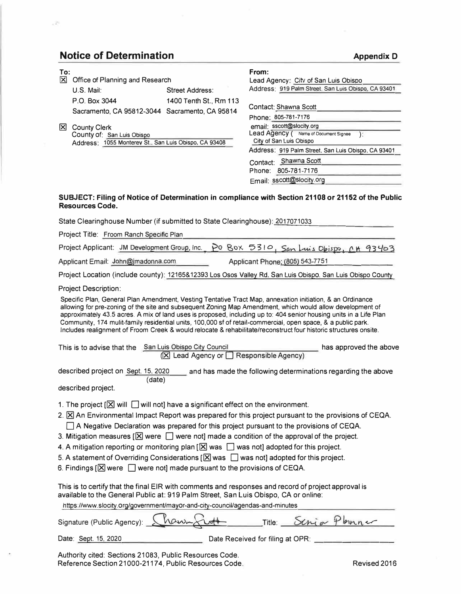## **Notice of Determination**

## **To:**   $\boxtimes$  Office of Planning and Research U.S. Mail: Street Address: P.O. Box 3044 1400 Tenth St., Rm 113 Sacramento, CA 95812-3044 Sacramento, CA 95814 � County Clerk County of: San Luis Obispo Address: 1055 Monterev St.. San Luis Obispo, CA 93408 **From:**  Lead Agency: City of San Luis Obispo Address: 919 Palm Street. San Luis Obispo, CA 93401 Contact: Shawna Scott Phone: 805-781-7176 email: sscott@slocity.org Lead Agency ( Name of Document Signee ): City of San Luis Obispo Address: 919 Palm Street. San Luis Obispo, CA 93401 Contact: Shawna Scott Phone: 805-781-7176

## **SUBJECT: Filing of Notice of Determination in compliance with Section 21108 or 21152 of the Public Resources Code.**

Email: sscott@slocity.org

| State Clearinghouse Number (if submitted to State Clearinghouse): 2017071033                                                                                                                                                                                                                                                                                                                                                                                                                                                                                                                                                                                                                                                                        |
|-----------------------------------------------------------------------------------------------------------------------------------------------------------------------------------------------------------------------------------------------------------------------------------------------------------------------------------------------------------------------------------------------------------------------------------------------------------------------------------------------------------------------------------------------------------------------------------------------------------------------------------------------------------------------------------------------------------------------------------------------------|
| Project Title: Froom Ranch Specific Plan                                                                                                                                                                                                                                                                                                                                                                                                                                                                                                                                                                                                                                                                                                            |
| PO BOX 5310, San Luis Obispo, CH 93403<br>Project Applicant: JM Development Group, Inc.                                                                                                                                                                                                                                                                                                                                                                                                                                                                                                                                                                                                                                                             |
| Applicant Email: John@jmadonna.com<br>Applicant Phone: (805) 543-7751                                                                                                                                                                                                                                                                                                                                                                                                                                                                                                                                                                                                                                                                               |
| Project Location (include county): 12165&12393 Los Osos Valley Rd. San Luis Obispo. San Luis Obispo County                                                                                                                                                                                                                                                                                                                                                                                                                                                                                                                                                                                                                                          |
| <b>Project Description:</b>                                                                                                                                                                                                                                                                                                                                                                                                                                                                                                                                                                                                                                                                                                                         |
| Specific Plan, General Plan Amendment, Vesting Tentative Tract Map, annexation initiation, & an Ordinance<br>allowing for pre-zoning of the site and subsequent Zoning Map Amendment, which would allow development of<br>approximately 43.5 acres. A mix of land uses is proposed, including up to: 404 senior housing units in a Life Plan<br>Community, 174 mulit-family residential units, 100,000 sf of retail-commercial, open space, & a public park.<br>Includes realignment of Froom Creek & would relocate & rehabilitate/reconstruct four historic structures onsite.                                                                                                                                                                    |
| This is to advise that the San Luis Obispo City Council<br>has approved the above<br>(区 Lead Agency or □ Responsible Agency)                                                                                                                                                                                                                                                                                                                                                                                                                                                                                                                                                                                                                        |
| described project on Sept. 15, 2020<br>and has made the following determinations regarding the above<br>(date)<br>described project.                                                                                                                                                                                                                                                                                                                                                                                                                                                                                                                                                                                                                |
| 1. The project $[\boxtimes]$ will $\Box$ will not] have a significant effect on the environment.<br>2. $\boxtimes$ An Environmental Impact Report was prepared for this project pursuant to the provisions of CEQA.<br>A Negative Declaration was prepared for this project pursuant to the provisions of CEQA.<br>3. Mitigation measures $[\boxtimes]$ were $[\Box]$ were not] made a condition of the approval of the project.<br>4. A mitigation reporting or monitoring plan $[\boxtimes]$ was $\Box$ was not] adopted for this project.<br>5. A statement of Overriding Considerations $[\boxtimes]$ was $\Box$ was not] adopted for this project.<br>6. Findings $[\boxtimes]$ were $\Box$ were not] made pursuant to the provisions of CEQA. |
| This is to certify that the final EIR with comments and responses and record of project approval is<br>available to the General Public at: 919 Palm Street, San Luis Obispo, CA or online:<br>https://www.slocity.org/government/mayor.org/oity.council/agendas.org/minutes-                                                                                                                                                                                                                                                                                                                                                                                                                                                                        |

https://www.slocity.org/government/mayor-and-city-council/agendas-and-minutes

| Signature (Public Agency): Champbell |  | Title: Schia Plenner |  |
|--------------------------------------|--|----------------------|--|
|                                      |  |                      |  |

| Date: Sept. 15, 2020 |  |  |
|----------------------|--|--|
|                      |  |  |

Date Received for filing at OPR:

Authority cited: Sections 21083, Public Resources Code. Reference Section 21000-21174, Public Resources Code. Revised 2016